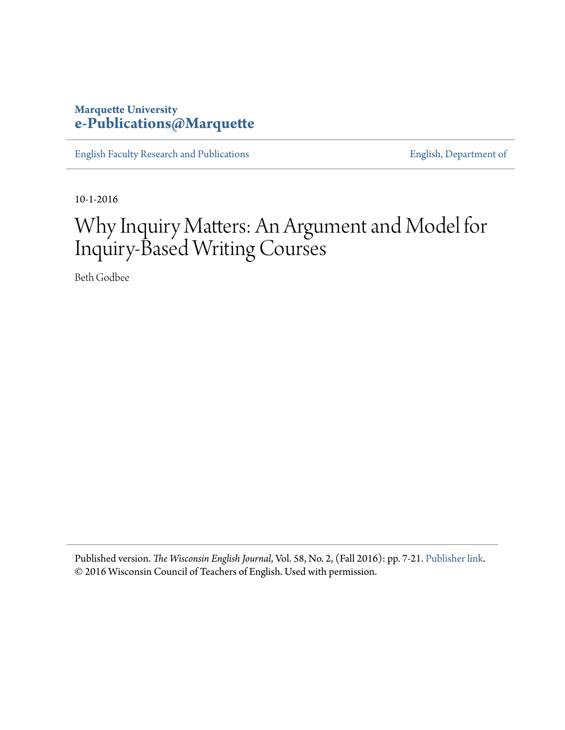### **Marquette University [e-Publications@Marquette](https://epublications.marquette.edu)**

[English Faculty Research and Publications](https://epublications.marquette.edu/english_fac) **[English, Department of](https://epublications.marquette.edu/english)** 

10-1-2016

# Why Inquiry Matters: An Argument and Model for Inquiry-Based Writing Courses

Beth Godbee

Published version. *The Wisconsin English Journal*, Vol. 58, No. 2, (Fall 2016): pp. 7-21. [Publisher link.](http://journals.library.wisc.edu/index.php/wej) © 2016 Wisconsin Council of Teachers of English. Used with permission.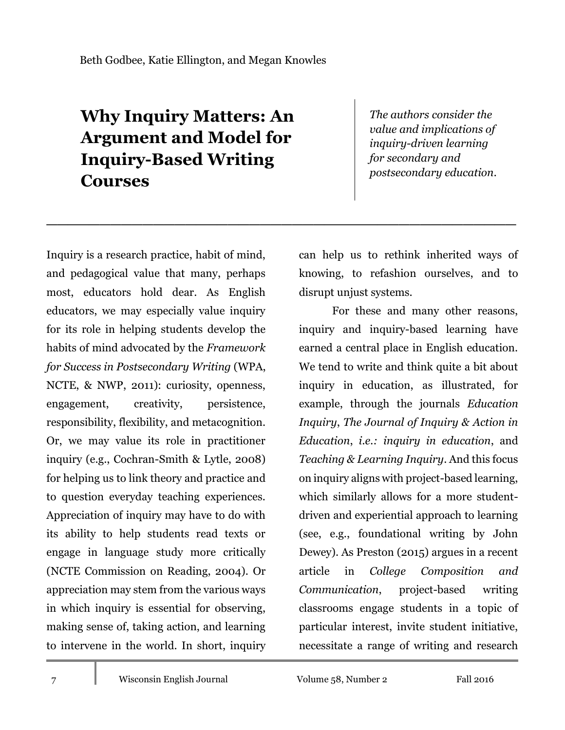## **Why Inquiry Matters: An Argument and Model for Inquiry-Based Writing Courses**

\_\_\_\_\_\_\_\_\_\_\_\_\_\_\_\_\_\_\_\_\_\_\_\_\_\_\_\_\_\_\_\_\_\_\_\_\_\_\_\_\_\_\_\_

*The authors consider the value and implications of inquiry-driven learning for secondary and postsecondary education.*

Inquiry is a research practice, habit of mind, and pedagogical value that many, perhaps most, educators hold dear. As English educators, we may especially value inquiry for its role in helping students develop the habits of mind advocated by the *Framework for Success in Postsecondary Writing* (WPA, NCTE, & NWP, 2011): curiosity, openness, engagement, creativity, persistence, responsibility, flexibility, and metacognition. Or, we may value its role in practitioner inquiry (e.g., Cochran-Smith & Lytle, 2008) for helping us to link theory and practice and to question everyday teaching experiences. Appreciation of inquiry may have to do with its ability to help students read texts or engage in language study more critically (NCTE Commission on Reading, 2004). Or appreciation may stem from the various ways in which inquiry is essential for observing, making sense of, taking action, and learning to intervene in the world. In short, inquiry

can help us to rethink inherited ways of knowing, to refashion ourselves, and to disrupt unjust systems.

For these and many other reasons, inquiry and inquiry-based learning have earned a central place in English education. We tend to write and think quite a bit about inquiry in education, as illustrated, for example, through the journals *Education Inquiry*, *The Journal of Inquiry & Action in Education*, *i.e.: inquiry in education*, and *Teaching & Learning Inquiry*. And this focus on inquiry aligns with project-based learning, which similarly allows for a more studentdriven and experiential approach to learning (see, e.g., foundational writing by John Dewey). As Preston (2015) argues in a recent article in *College Composition and Communication*, project-based writing classrooms engage students in a topic of particular interest, invite student initiative, necessitate a range of writing and research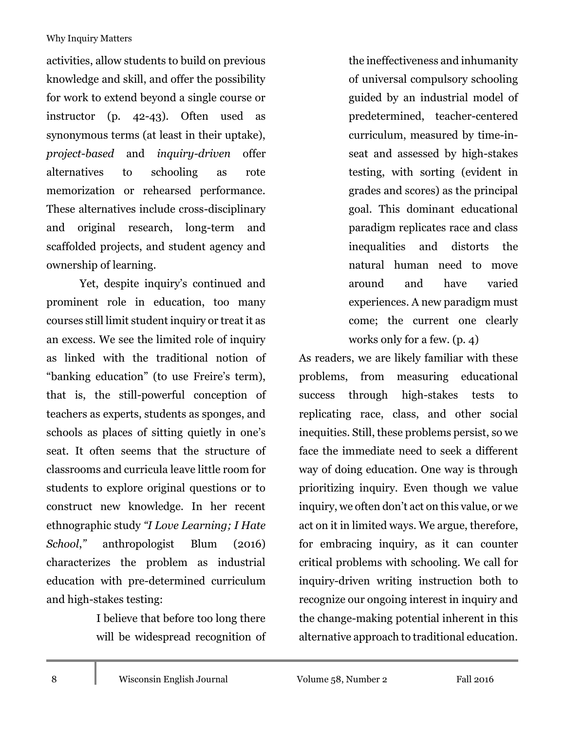activities, allow students to build on previous knowledge and skill, and offer the possibility for work to extend beyond a single course or instructor (p. 42-43). Often used as synonymous terms (at least in their uptake), *project-based* and *inquiry-driven* offer alternatives to schooling as rote memorization or rehearsed performance. These alternatives include cross-disciplinary and original research, long-term and scaffolded projects, and student agency and ownership of learning.

Yet, despite inquiry's continued and prominent role in education, too many courses still limit student inquiry or treat it as an excess. We see the limited role of inquiry as linked with the traditional notion of "banking education" (to use Freire's term), that is, the still-powerful conception of teachers as experts, students as sponges, and schools as places of sitting quietly in one's seat. It often seems that the structure of classrooms and curricula leave little room for students to explore original questions or to construct new knowledge. In her recent ethnographic study *"I Love Learning; I Hate School*,*"* anthropologist Blum (2016) characterizes the problem as industrial education with pre-determined curriculum and high-stakes testing:

> I believe that before too long there will be widespread recognition of

the ineffectiveness and inhumanity of universal compulsory schooling guided by an industrial model of predetermined, teacher-centered curriculum, measured by time-inseat and assessed by high-stakes testing, with sorting (evident in grades and scores) as the principal goal. This dominant educational paradigm replicates race and class inequalities and distorts the natural human need to move around and have varied experiences. A new paradigm must come; the current one clearly works only for a few. (p. 4)

As readers, we are likely familiar with these problems, from measuring educational success through high-stakes tests to replicating race, class, and other social inequities. Still, these problems persist, so we face the immediate need to seek a different way of doing education. One way is through prioritizing inquiry. Even though we value inquiry, we often don't act on this value, or we act on it in limited ways. We argue, therefore, for embracing inquiry, as it can counter critical problems with schooling. We call for inquiry-driven writing instruction both to recognize our ongoing interest in inquiry and the change-making potential inherent in this alternative approach to traditional education.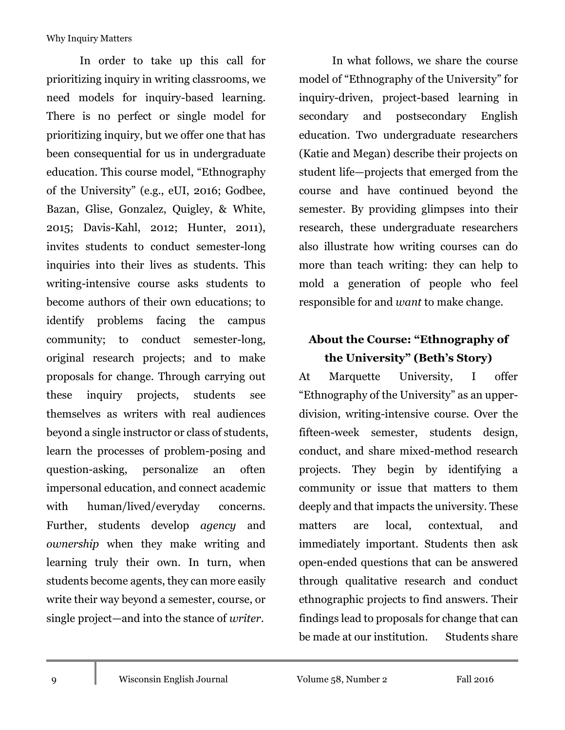In order to take up this call for prioritizing inquiry in writing classrooms, we need models for inquiry-based learning. There is no perfect or single model for prioritizing inquiry, but we offer one that has been consequential for us in undergraduate education. This course model, "Ethnography of the University" (e.g., eUI, 2016; Godbee, Bazan, Glise, Gonzalez, Quigley, & White, 2015; Davis-Kahl, 2012; Hunter, 2011), invites students to conduct semester-long inquiries into their lives as students. This writing-intensive course asks students to become authors of their own educations; to identify problems facing the campus community; to conduct semester-long, original research projects; and to make proposals for change. Through carrying out these inquiry projects, students see themselves as writers with real audiences beyond a single instructor or class of students, learn the processes of problem-posing and question-asking, personalize an often impersonal education, and connect academic with human/lived/everyday concerns. Further, students develop *agency* and *ownership* when they make writing and learning truly their own. In turn, when students become agents, they can more easily write their way beyond a semester, course, or single project—and into the stance of *writer*.

In what follows, we share the course model of "Ethnography of the University" for inquiry-driven, project-based learning in secondary and postsecondary English education. Two undergraduate researchers (Katie and Megan) describe their projects on student life—projects that emerged from the course and have continued beyond the semester. By providing glimpses into their research, these undergraduate researchers also illustrate how writing courses can do more than teach writing: they can help to mold a generation of people who feel responsible for and *want* to make change.

### **About the Course: "Ethnography of the University" (Beth's Story)**

At Marquette University, I offer "Ethnography of the University" as an upperdivision, writing-intensive course. Over the fifteen-week semester, students design, conduct, and share mixed-method research projects. They begin by identifying a community or issue that matters to them deeply and that impacts the university. These matters are local, contextual, and immediately important. Students then ask open-ended questions that can be answered through qualitative research and conduct ethnographic projects to find answers. Their findings lead to proposals for change that can be made at our institution. Students share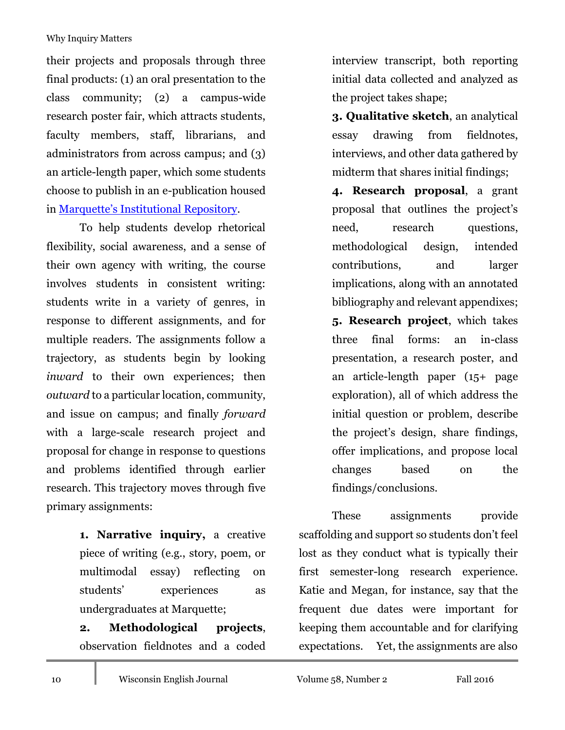their projects and proposals through three final products: (1) an oral presentation to the class community; (2) a campus-wide research poster fair, which attracts students, faculty members, staff, librarians, and administrators from across campus; and (3) an article-length paper, which some students choose to publish in an e-publication housed in [Marquette's Institutional Repository](http://epublications.marquette.edu/english_3210ur/).

To help students develop rhetorical flexibility, social awareness, and a sense of their own agency with writing, the course involves students in consistent writing: students write in a variety of genres, in response to different assignments, and for multiple readers. The assignments follow a trajectory, as students begin by looking *inward* to their own experiences; then *outward* to a particular location, community, and issue on campus; and finally *forward*  with a large-scale research project and proposal for change in response to questions and problems identified through earlier research. This trajectory moves through five primary assignments:

> **1. Narrative inquiry,** a creative piece of writing (e.g., story, poem, or multimodal essay) reflecting on students' experiences as undergraduates at Marquette;

> **2. Methodological projects**, observation fieldnotes and a coded

interview transcript, both reporting initial data collected and analyzed as the project takes shape;

**3. Qualitative sketch**, an analytical essay drawing from fieldnotes, interviews, and other data gathered by midterm that shares initial findings;

**4. Research proposal**, a grant proposal that outlines the project's need, research questions, methodological design, intended contributions, and larger implications, along with an annotated bibliography and relevant appendixes; **5. Research project**, which takes three final forms: an in-class presentation, a research poster, and an article-length paper (15+ page exploration), all of which address the initial question or problem, describe the project's design, share findings, offer implications, and propose local changes based on the findings/conclusions.

These assignments provide scaffolding and support so students don't feel lost as they conduct what is typically their first semester-long research experience. Katie and Megan, for instance, say that the frequent due dates were important for keeping them accountable and for clarifying expectations. Yet, the assignments are also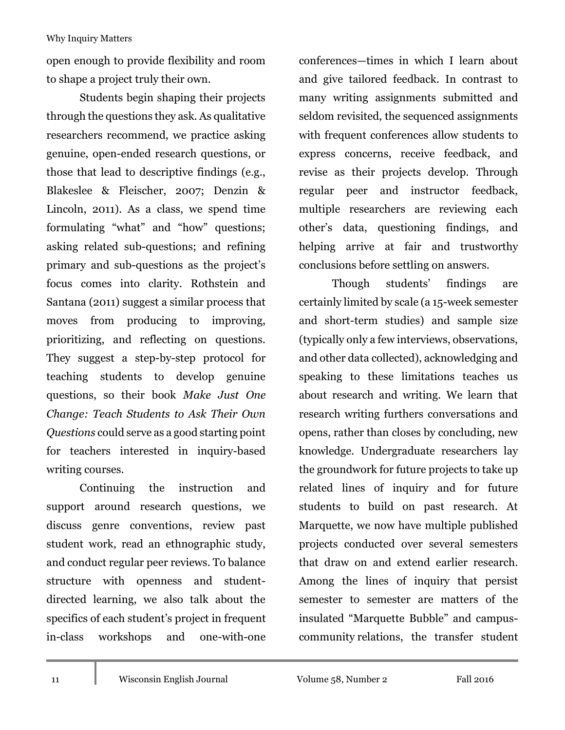open enough to provide flexibility and room to shape a project truly their own.

Students begin shaping their projects through the questions they ask. As qualitative researchers recommend, we practice asking genuine, open-ended research questions, or those that lead to descriptive findings (e.g., Blakeslee & Fleischer, 2007; Denzin & Lincoln, 2011). As a class, we spend time formulating "what" and "how" questions; asking related sub-questions; and refining primary and sub-questions as the project's focus comes into clarity. Rothstein and Santana (2011) suggest a similar process that moves from producing to improving, prioritizing, and reflecting on questions. They suggest a step-by-step protocol for teaching students to develop genuine questions, so their book *Make Just One Change: Teach Students to Ask Their Own Questions* could serve as a good starting point for teachers interested in inquiry-based writing courses.

Continuing the instruction and support around research questions, we discuss genre conventions, review past student work, read an ethnographic study, and conduct regular peer reviews. To balance structure with openness and studentdirected learning, we also talk about the specifics of each student's project in frequent in-class workshops and one-with-one

conferences—times in which I learn about and give tailored feedback. In contrast to many writing assignments submitted and seldom revisited, the sequenced assignments with frequent conferences allow students to express concerns, receive feedback, and revise as their projects develop. Through regular peer and instructor feedback, multiple researchers are reviewing each other's data, questioning findings, and helping arrive at fair and trustworthy conclusions before settling on answers.

Though students' findings are certainly limited by scale (a 15-week semester and short-term studies) and sample size (typically only a few interviews, observations, and other data collected), acknowledging and speaking to these limitations teaches us about research and writing. We learn that research writing furthers conversations and opens, rather than closes by concluding, new knowledge. Undergraduate researchers lay the groundwork for future projects to take up related lines of inquiry and for future students to build on past research. At Marquette, we now have multiple published projects conducted over several semesters that draw on and extend earlier research. Among the lines of inquiry that persist semester to semester are matters of the insulated "Marquette Bubble" and campuscommunity relations, the transfer student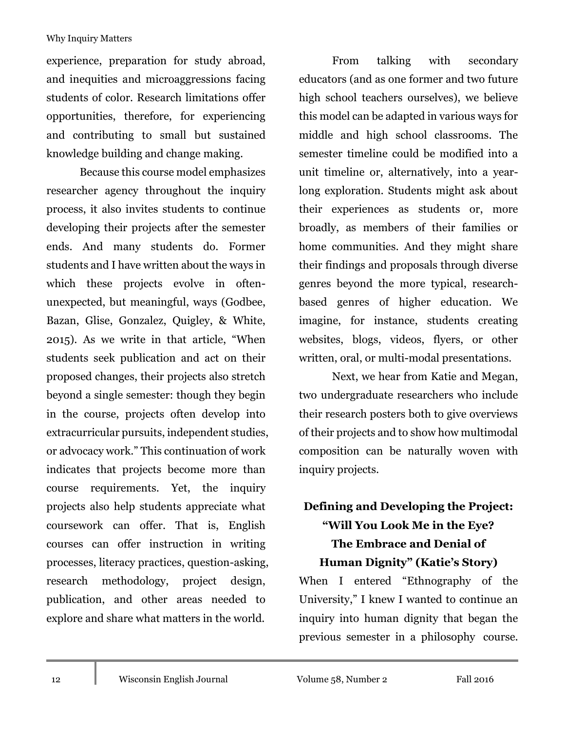experience, preparation for study abroad, and inequities and microaggressions facing students of color. Research limitations offer opportunities, therefore, for experiencing and contributing to small but sustained knowledge building and change making.

Because this course model emphasizes researcher agency throughout the inquiry process, it also invites students to continue developing their projects after the semester ends. And many students do. Former students and I have written about the ways in which these projects evolve in oftenunexpected, but meaningful, ways (Godbee, Bazan, Glise, Gonzalez, Quigley, & White, 2015). As we write in that article, "When students seek publication and act on their proposed changes, their projects also stretch beyond a single semester: though they begin in the course, projects often develop into extracurricular pursuits, independent studies, or advocacy work." This continuation of work indicates that projects become more than course requirements. Yet, the inquiry projects also help students appreciate what coursework can offer. That is, English courses can offer instruction in writing processes, literacy practices, question-asking, research methodology, project design, publication, and other areas needed to explore and share what matters in the world.

From talking with secondary educators (and as one former and two future high school teachers ourselves), we believe this model can be adapted in various ways for middle and high school classrooms. The semester timeline could be modified into a unit timeline or, alternatively, into a yearlong exploration. Students might ask about their experiences as students or, more broadly, as members of their families or home communities. And they might share their findings and proposals through diverse genres beyond the more typical, researchbased genres of higher education. We imagine, for instance, students creating websites, blogs, videos, flyers, or other written, oral, or multi-modal presentations.

Next, we hear from Katie and Megan, two undergraduate researchers who include their research posters both to give overviews of their projects and to show how multimodal composition can be naturally woven with inquiry projects.

### **Defining and Developing the Project: "Will You Look Me in the Eye? The Embrace and Denial of Human Dignity" (Katie's Story)**

When I entered "Ethnography of the University," I knew I wanted to continue an inquiry into human dignity that began the previous semester in a philosophy course.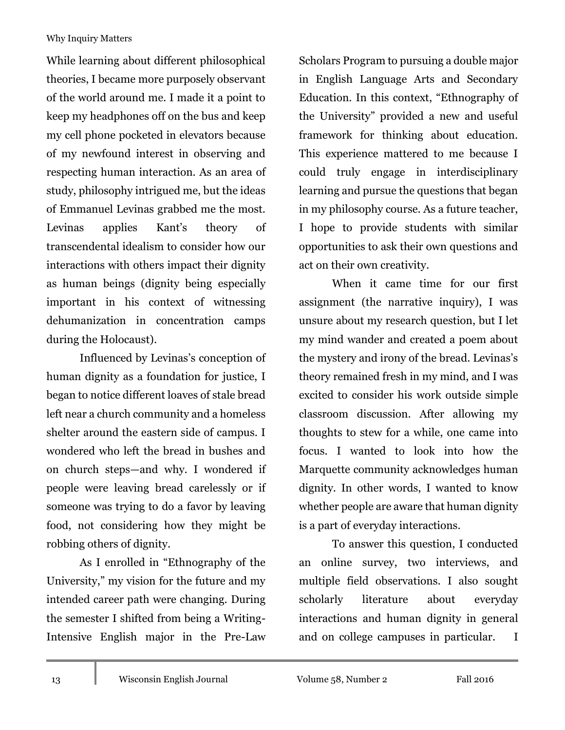While learning about different philosophical theories, I became more purposely observant of the world around me. I made it a point to keep my headphones off on the bus and keep my cell phone pocketed in elevators because of my newfound interest in observing and respecting human interaction. As an area of study, philosophy intrigued me, but the ideas of Emmanuel Levinas grabbed me the most. Levinas applies Kant's theory of transcendental idealism to consider how our interactions with others impact their dignity as human beings (dignity being especially important in his context of witnessing dehumanization in concentration camps during the Holocaust).

Influenced by Levinas's conception of human dignity as a foundation for justice, I began to notice different loaves of stale bread left near a church community and a homeless shelter around the eastern side of campus. I wondered who left the bread in bushes and on church steps—and why. I wondered if people were leaving bread carelessly or if someone was trying to do a favor by leaving food, not considering how they might be robbing others of dignity.

As I enrolled in "Ethnography of the University," my vision for the future and my intended career path were changing. During the semester I shifted from being a Writing-Intensive English major in the Pre-Law

Scholars Program to pursuing a double major in English Language Arts and Secondary Education. In this context, "Ethnography of the University" provided a new and useful framework for thinking about education. This experience mattered to me because I could truly engage in interdisciplinary learning and pursue the questions that began in my philosophy course. As a future teacher, I hope to provide students with similar opportunities to ask their own questions and act on their own creativity.

When it came time for our first assignment (the narrative inquiry), I was unsure about my research question, but I let my mind wander and created a poem about the mystery and irony of the bread. Levinas's theory remained fresh in my mind, and I was excited to consider his work outside simple classroom discussion. After allowing my thoughts to stew for a while, one came into focus. I wanted to look into how the Marquette community acknowledges human dignity. In other words, I wanted to know whether people are aware that human dignity is a part of everyday interactions.

To answer this question, I conducted an online survey, two interviews, and multiple field observations. I also sought scholarly literature about everyday interactions and human dignity in general and on college campuses in particular. I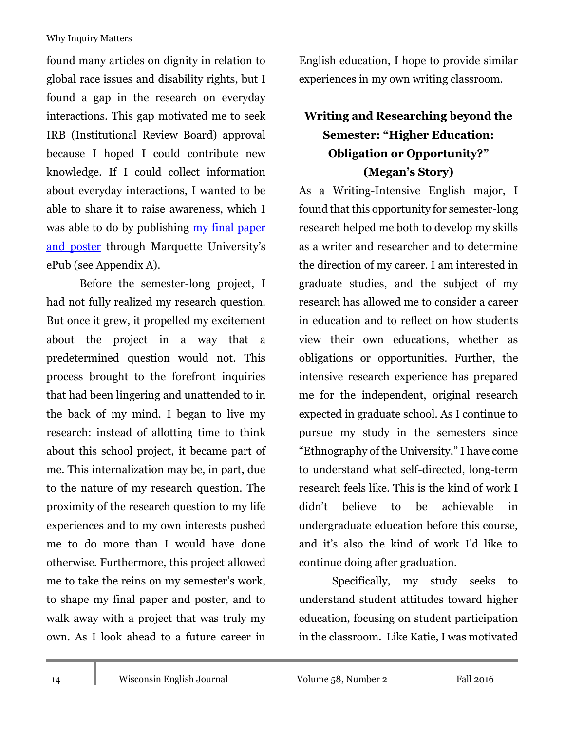found many articles on dignity in relation to global race issues and disability rights, but I found a gap in the research on everyday interactions. This gap motivated me to seek IRB (Institutional Review Board) approval because I hoped I could contribute new knowledge. If I could collect information about everyday interactions, I wanted to be able to share it to raise awareness, which I was able to do by publishing <u>my final paper</u> [and poster](http://epublications.marquette.edu/english_3210ur/23/) through Marquette University's ePub (see Appendix A).

Before the semester-long project, I had not fully realized my research question. But once it grew, it propelled my excitement about the project in a way that a predetermined question would not. This process brought to the forefront inquiries that had been lingering and unattended to in the back of my mind. I began to live my research: instead of allotting time to think about this school project, it became part of me. This internalization may be, in part, due to the nature of my research question. The proximity of the research question to my life experiences and to my own interests pushed me to do more than I would have done otherwise. Furthermore, this project allowed me to take the reins on my semester's work, to shape my final paper and poster, and to walk away with a project that was truly my own. As I look ahead to a future career in

English education, I hope to provide similar experiences in my own writing classroom.

### **Writing and Researching beyond the Semester: "Higher Education: Obligation or Opportunity?" (Megan's Story)**

As a Writing-Intensive English major, I found that this opportunity for semester-long research helped me both to develop my skills as a writer and researcher and to determine the direction of my career. I am interested in graduate studies, and the subject of my research has allowed me to consider a career in education and to reflect on how students view their own educations, whether as obligations or opportunities. Further, the intensive research experience has prepared me for the independent, original research expected in graduate school. As I continue to pursue my study in the semesters since "Ethnography of the University," I have come to understand what self-directed, long-term research feels like. This is the kind of work I didn't believe to be achievable in undergraduate education before this course, and it's also the kind of work I'd like to continue doing after graduation.

Specifically, my study seeks to understand student attitudes toward higher education, focusing on student participation in the classroom. Like Katie, I was motivated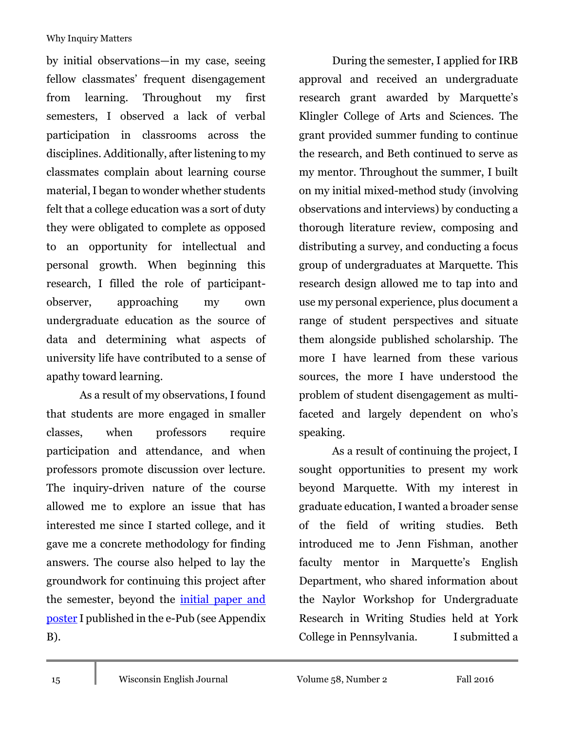by initial observations—in my case, seeing fellow classmates' frequent disengagement from learning. Throughout my first semesters, I observed a lack of verbal participation in classrooms across the disciplines. Additionally, after listening to my classmates complain about learning course material, I began to wonder whether students felt that a college education was a sort of duty they were obligated to complete as opposed to an opportunity for intellectual and personal growth. When beginning this research, I filled the role of participantobserver, approaching my own undergraduate education as the source of data and determining what aspects of university life have contributed to a sense of apathy toward learning.

As a result of my observations, I found that students are more engaged in smaller classes, when professors require participation and attendance, and when professors promote discussion over lecture. The inquiry-driven nature of the course allowed me to explore an issue that has interested me since I started college, and it gave me a concrete methodology for finding answers. The course also helped to lay the groundwork for continuing this project after the semester, beyond the [initial paper and](http://epublications.marquette.edu/english_3210ur/21/)  [poster](http://epublications.marquette.edu/english_3210ur/21/) I published in the e-Pub (see Appendix B).

During the semester, I applied for IRB approval and received an undergraduate research grant awarded by Marquette's Klingler College of Arts and Sciences. The grant provided summer funding to continue the research, and Beth continued to serve as my mentor. Throughout the summer, I built on my initial mixed-method study (involving observations and interviews) by conducting a thorough literature review, composing and distributing a survey, and conducting a focus group of undergraduates at Marquette. This research design allowed me to tap into and use my personal experience, plus document a range of student perspectives and situate them alongside published scholarship. The more I have learned from these various sources, the more I have understood the problem of student disengagement as multifaceted and largely dependent on who's speaking.

As a result of continuing the project, I sought opportunities to present my work beyond Marquette. With my interest in graduate education, I wanted a broader sense of the field of writing studies. Beth introduced me to Jenn Fishman, another faculty mentor in Marquette's English Department, who shared information about the Naylor Workshop for Undergraduate Research in Writing Studies held at York College in Pennsylvania. I submitted a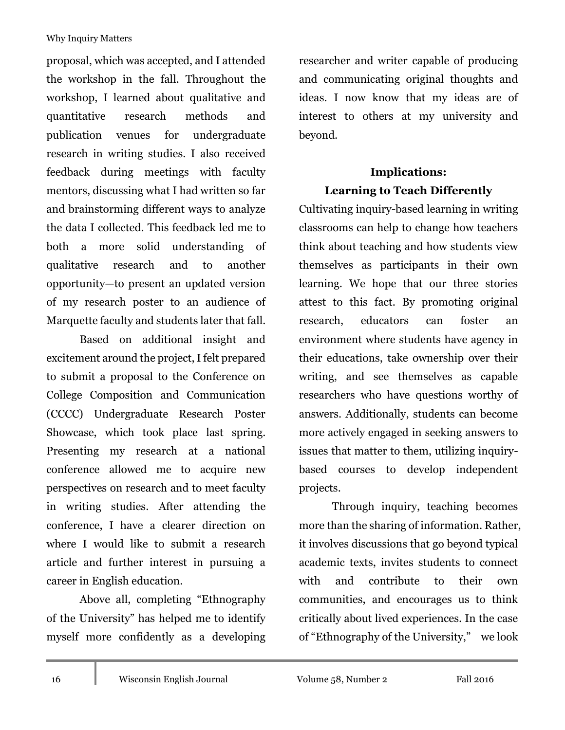proposal, which was accepted, and I attended the workshop in the fall. Throughout the workshop, I learned about qualitative and quantitative research methods and publication venues for undergraduate research in writing studies. I also received feedback during meetings with faculty mentors, discussing what I had written so far and brainstorming different ways to analyze the data I collected. This feedback led me to both a more solid understanding of qualitative research and to another opportunity—to present an updated version of my research poster to an audience of Marquette faculty and students later that fall.

Based on additional insight and excitement around the project, I felt prepared to submit a proposal to the Conference on College Composition and Communication (CCCC) Undergraduate Research Poster Showcase, which took place last spring. Presenting my research at a national conference allowed me to acquire new perspectives on research and to meet faculty in writing studies. After attending the conference, I have a clearer direction on where I would like to submit a research article and further interest in pursuing a career in English education.

Above all, completing "Ethnography of the University" has helped me to identify myself more confidently as a developing

researcher and writer capable of producing and communicating original thoughts and ideas. I now know that my ideas are of interest to others at my university and beyond.

### **Implications: Learning to Teach Differently**

Cultivating inquiry-based learning in writing classrooms can help to change how teachers think about teaching and how students view themselves as participants in their own learning. We hope that our three stories attest to this fact. By promoting original research, educators can foster an environment where students have agency in their educations, take ownership over their writing, and see themselves as capable researchers who have questions worthy of answers. Additionally, students can become more actively engaged in seeking answers to issues that matter to them, utilizing inquirybased courses to develop independent projects.

Through inquiry, teaching becomes more than the sharing of information. Rather, it involves discussions that go beyond typical academic texts, invites students to connect with and contribute to their own communities, and encourages us to think critically about lived experiences. In the case of "Ethnography of the University," we look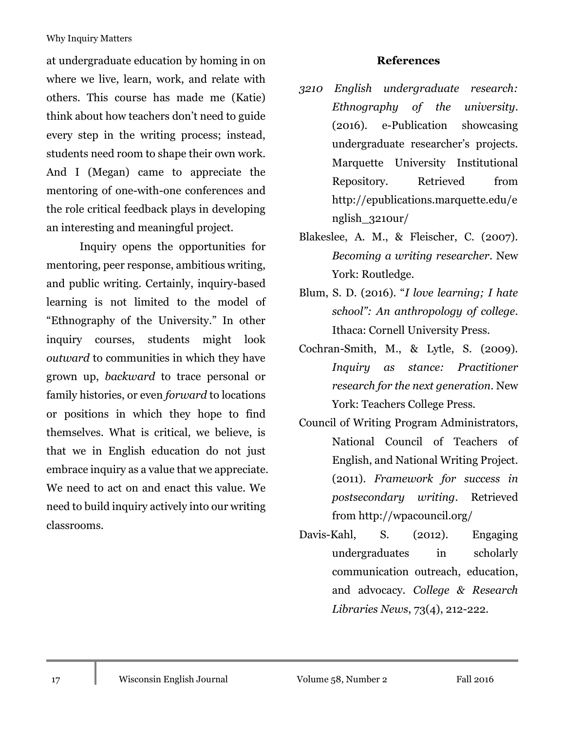at undergraduate education by homing in on where we live, learn, work, and relate with others. This course has made me (Katie) think about how teachers don't need to guide every step in the writing process; instead, students need room to shape their own work. And I (Megan) came to appreciate the mentoring of one-with-one conferences and the role critical feedback plays in developing an interesting and meaningful project.

Inquiry opens the opportunities for mentoring, peer response, ambitious writing, and public writing. Certainly, inquiry-based learning is not limited to the model of "Ethnography of the University." In other inquiry courses, students might look *outward* to communities in which they have grown up, *backward* to trace personal or family histories, or even *forward* to locations or positions in which they hope to find themselves. What is critical, we believe, is that we in English education do not just embrace inquiry as a value that we appreciate. We need to act on and enact this value. We need to build inquiry actively into our writing classrooms.

#### **References**

- *3210 English undergraduate research: Ethnography of the university*. (2016). e-Publication showcasing undergraduate researcher's projects. Marquette University Institutional Repository. Retrieved from http://epublications.marquette.edu/e nglish\_3210ur/
- Blakeslee, A. M., & Fleischer, C. (2007). *Becoming a writing researcher*. New York: Routledge.
- Blum, S. D. (2016). "*I love learning; I hate school": An anthropology of college*. Ithaca: Cornell University Press.
- Cochran-Smith, M., & Lytle, S. (2009). *Inquiry as stance: Practitioner research for the next generation*. New York: Teachers College Press.
- Council of Writing Program Administrators, National Council of Teachers of English, and National Writing Project. (2011). *Framework for success in postsecondary writing*. Retrieved from http://wpacouncil.org/
- Davis-Kahl, S. (2012). Engaging undergraduates in scholarly communication outreach, education, and advocacy. *College & Research Libraries News*, 73(4), 212-222.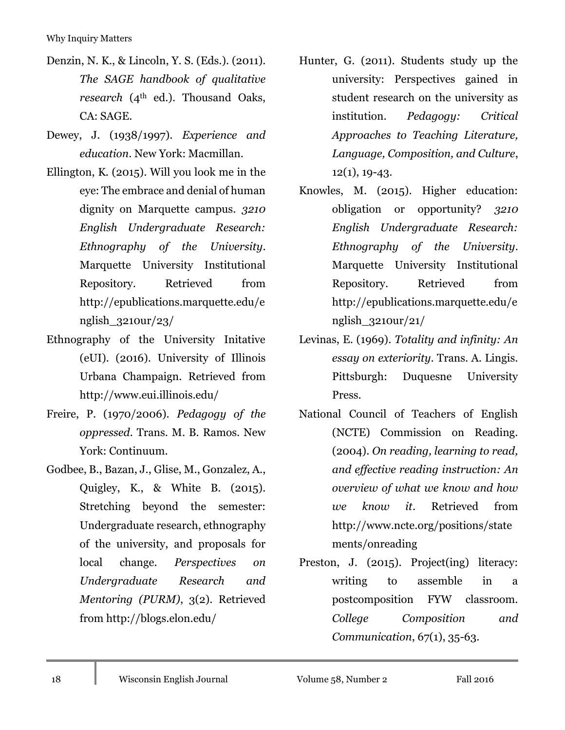- Denzin, N. K., & Lincoln, Y. S. (Eds.). (2011). *The SAGE handbook of qualitative research* (4<sup>th</sup> ed.). Thousand Oaks, CA: SAGE.
- Dewey, J. (1938/1997). *Experience and education*. New York: Macmillan.
- Ellington, K. (2015). Will you look me in the eye: The embrace and denial of human dignity on Marquette campus. *3210 English Undergraduate Research: Ethnography of the University*. Marquette University Institutional Repository. Retrieved from http://epublications.marquette.edu/e nglish\_3210ur/23/
- Ethnography of the University Initative (eUI). (2016). University of Illinois Urbana Champaign. Retrieved from http://www.eui.illinois.edu/
- Freire, P. (1970/2006). *Pedagogy of the oppressed*. Trans. M. B. Ramos. New York: Continuum.
- Godbee, B., Bazan, J., Glise, M., Gonzalez, A., Quigley, K., & White B. (2015). Stretching beyond the semester: Undergraduate research, ethnography of the university, and proposals for local change. *Perspectives on Undergraduate Research and Mentoring (PURM)*, 3(2). Retrieved from http://blogs.elon.edu/
- Hunter, G. (2011). Students study up the university: Perspectives gained in student research on the university as institution. *Pedagogy: Critical Approaches to Teaching Literature, Language, Composition, and Culture*,  $12(1), 19-43.$
- Knowles, M. (2015). Higher education: obligation or opportunity? *3210 English Undergraduate Research: Ethnography of the University*. Marquette University Institutional Repository. Retrieved from http://epublications.marquette.edu/e nglish\_3210ur/21/
- Levinas, E. (1969). *Totality and infinity: An essay on exteriority*. Trans. A. Lingis. Pittsburgh: Duquesne University Press.
- National Council of Teachers of English (NCTE) Commission on Reading. (2004). *On reading, learning to read, and effective reading instruction: An overview of what we know and how we know it*. Retrieved from http://www.ncte.org/positions/state ments/onreading
- Preston, J. (2015). Project(ing) literacy: writing to assemble in a postcomposition FYW classroom. *College Composition and Communication*, 67(1), 35-63.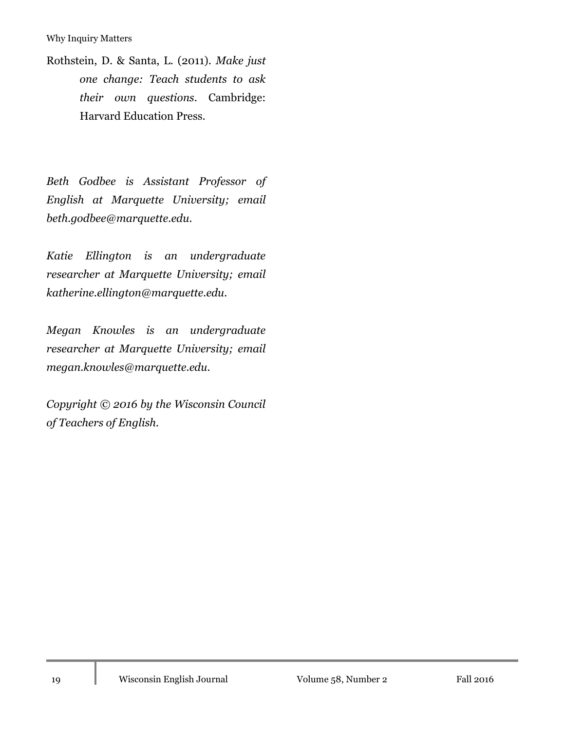Rothstein, D. & Santa, L. (2011). *Make just one change: Teach students to ask their own questions*. Cambridge: Harvard Education Press.

*Beth Godbee is Assistant Professor of English at Marquette University; email beth.godbee@marquette.edu.*

*Katie Ellington is an undergraduate researcher at Marquette University; email katherine.ellington@marquette.edu.*

*Megan Knowles is an undergraduate researcher at Marquette University; email megan.knowles@marquette.edu.*

*Copyright © 2016 by the Wisconsin Council of Teachers of English.*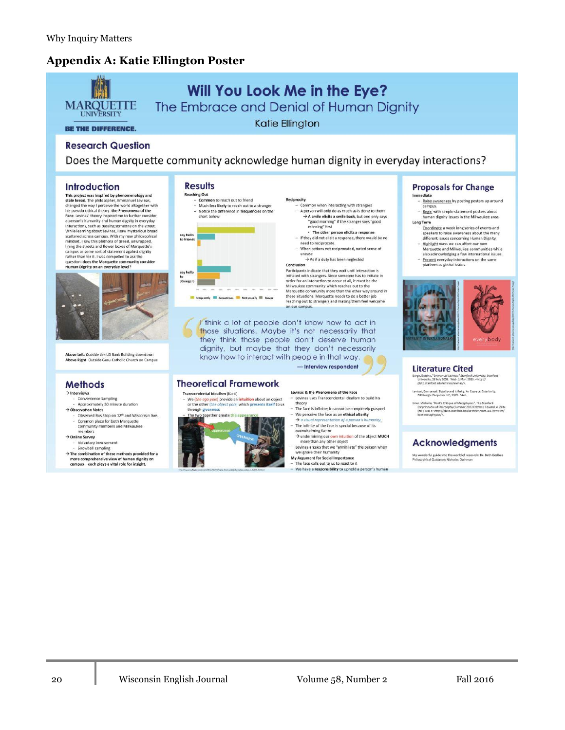#### **Appendix A: Katie Ellington Poster**